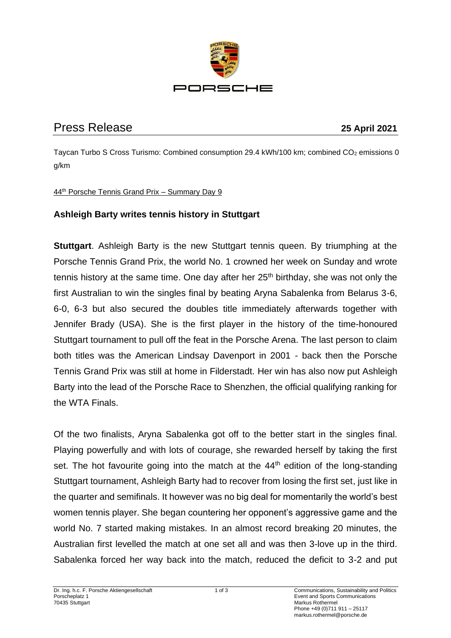

# Press Release **25 April 2021**

Taycan Turbo S Cross Turismo: Combined consumption 29.4 kWh/100 km; combined CO<sub>2</sub> emissions 0 g/km

#### 44th Porsche Tennis Grand Prix – Summary Day 9

## **Ashleigh Barty writes tennis history in Stuttgart**

**Stuttgart.** Ashleigh Barty is the new Stuttgart tennis queen. By triumphing at the Porsche Tennis Grand Prix, the world No. 1 crowned her week on Sunday and wrote tennis history at the same time. One day after her  $25<sup>th</sup>$  birthday, she was not only the first Australian to win the singles final by beating Aryna Sabalenka from Belarus 3-6, 6-0, 6-3 but also secured the doubles title immediately afterwards together with Jennifer Brady (USA). She is the first player in the history of the time-honoured Stuttgart tournament to pull off the feat in the Porsche Arena. The last person to claim both titles was the American Lindsay Davenport in 2001 - back then the Porsche Tennis Grand Prix was still at home in Filderstadt. Her win has also now put Ashleigh Barty into the lead of the Porsche Race to Shenzhen, the official qualifying ranking for the WTA Finals.

Of the two finalists, Aryna Sabalenka got off to the better start in the singles final. Playing powerfully and with lots of courage, she rewarded herself by taking the first set. The hot favourite going into the match at the  $44<sup>th</sup>$  edition of the long-standing Stuttgart tournament, Ashleigh Barty had to recover from losing the first set, just like in the quarter and semifinals. It however was no big deal for momentarily the world's best women tennis player. She began countering her opponent's aggressive game and the world No. 7 started making mistakes. In an almost record breaking 20 minutes, the Australian first levelled the match at one set all and was then 3-love up in the third. Sabalenka forced her way back into the match, reduced the deficit to 3-2 and put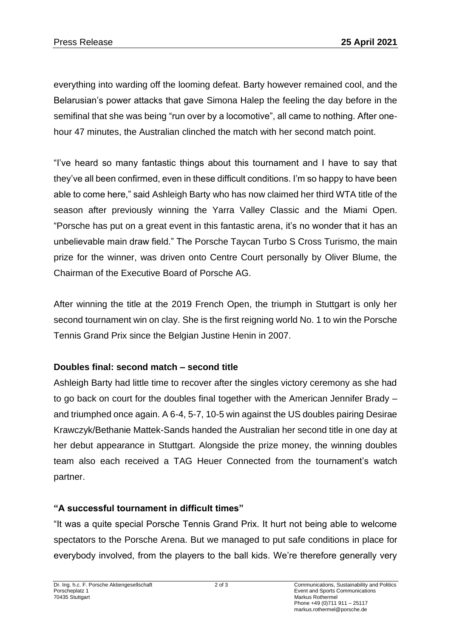everything into warding off the looming defeat. Barty however remained cool, and the Belarusian's power attacks that gave Simona Halep the feeling the day before in the semifinal that she was being "run over by a locomotive", all came to nothing. After onehour 47 minutes, the Australian clinched the match with her second match point.

"I've heard so many fantastic things about this tournament and I have to say that they've all been confirmed, even in these difficult conditions. I'm so happy to have been able to come here," said Ashleigh Barty who has now claimed her third WTA title of the season after previously winning the Yarra Valley Classic and the Miami Open. "Porsche has put on a great event in this fantastic arena, it's no wonder that it has an unbelievable main draw field." The Porsche Taycan Turbo S Cross Turismo, the main prize for the winner, was driven onto Centre Court personally by Oliver Blume, the Chairman of the Executive Board of Porsche AG.

After winning the title at the 2019 French Open, the triumph in Stuttgart is only her second tournament win on clay. She is the first reigning world No. 1 to win the Porsche Tennis Grand Prix since the Belgian Justine Henin in 2007.

## **Doubles final: second match – second title**

Ashleigh Barty had little time to recover after the singles victory ceremony as she had to go back on court for the doubles final together with the American Jennifer Brady – and triumphed once again. A 6-4, 5-7, 10-5 win against the US doubles pairing Desirae Krawczyk/Bethanie Mattek-Sands handed the Australian her second title in one day at her debut appearance in Stuttgart. Alongside the prize money, the winning doubles team also each received a TAG Heuer Connected from the tournament's watch partner.

### **"A successful tournament in difficult times"**

"It was a quite special Porsche Tennis Grand Prix. It hurt not being able to welcome spectators to the Porsche Arena. But we managed to put safe conditions in place for everybody involved, from the players to the ball kids. We're therefore generally very